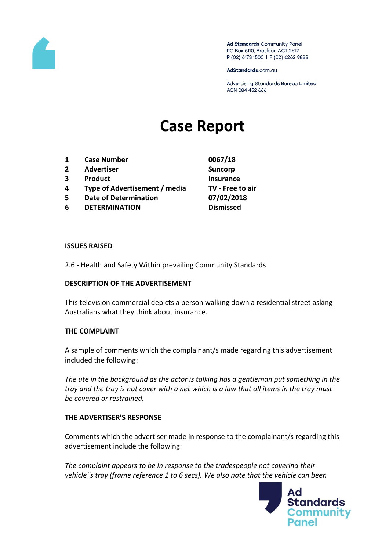

Ad Standards Community Panel PO Box 5110, Braddon ACT 2612 P (02) 6173 1500 | F (02) 6262 9833

AdStandards.com.au

Advertising Standards Bureau Limited ACN 084 452 666

# **Case Report**

- **1 Case Number 0067/18**
- **2 Advertiser Suncorp**
- **3 Product Insurance**
- **4 Type of Advertisement / media TV - Free to air**
- **5 Date of Determination 07/02/2018**
- **6 DETERMINATION Dismissed**

### **ISSUES RAISED**

2.6 - Health and Safety Within prevailing Community Standards

## **DESCRIPTION OF THE ADVERTISEMENT**

This television commercial depicts a person walking down a residential street asking Australians what they think about insurance.

## **THE COMPLAINT**

A sample of comments which the complainant/s made regarding this advertisement included the following:

*The ute in the background as the actor is talking has a gentleman put something in the tray and the tray is not cover with a net which is a law that all items in the tray must be covered or restrained.*

## **THE ADVERTISER'S RESPONSE**

Comments which the advertiser made in response to the complainant/s regarding this advertisement include the following:

*The complaint appears to be in response to the tradespeople not covering their vehicle''s tray (frame reference 1 to 6 secs). We also note that the vehicle can been* 

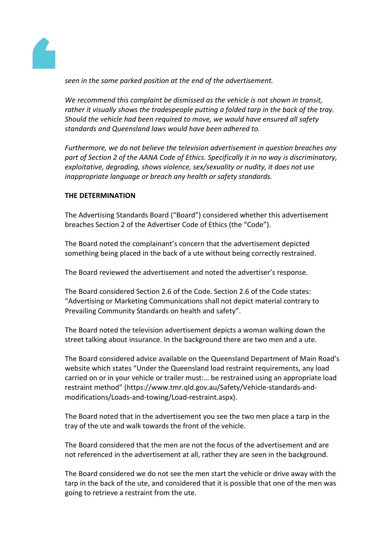

*seen in the same parked position at the end of the advertisement.*

*We recommend this complaint be dismissed as the vehicle is not shown in transit, rather it visually shows the tradespeople putting a folded tarp in the back of the tray. Should the vehicle had been required to move, we would have ensured all safety standards and Queensland laws would have been adhered to.*

*Furthermore, we do not believe the television advertisement in question breaches any part of Section 2 of the AANA Code of Ethics. Specifically it in no way is discriminatory, exploitative, degrading, shows violence, sex/sexuality or nudity, it does not use inappropriate language or breach any health or safety standards.*

## **THE DETERMINATION**

The Advertising Standards Board ("Board") considered whether this advertisement breaches Section 2 of the Advertiser Code of Ethics (the "Code").

The Board noted the complainant's concern that the advertisement depicted something being placed in the back of a ute without being correctly restrained.

The Board reviewed the advertisement and noted the advertiser's response.

The Board considered Section 2.6 of the Code. Section 2.6 of the Code states: "Advertising or Marketing Communications shall not depict material contrary to Prevailing Community Standards on health and safety".

The Board noted the television advertisement depicts a woman walking down the street talking about insurance. In the background there are two men and a ute.

The Board considered advice available on the Queensland Department of Main Road's website which states "Under the Queensland load restraint requirements, any load carried on or in your vehicle or trailer must:… be restrained using an appropriate load restraint method" (https://www.tmr.qld.gov.au/Safety/Vehicle-standards-andmodifications/Loads-and-towing/Load-restraint.aspx).

The Board noted that in the advertisement you see the two men place a tarp in the tray of the ute and walk towards the front of the vehicle.

The Board considered that the men are not the focus of the advertisement and are not referenced in the advertisement at all, rather they are seen in the background.

The Board considered we do not see the men start the vehicle or drive away with the tarp in the back of the ute, and considered that it is possible that one of the men was going to retrieve a restraint from the ute.